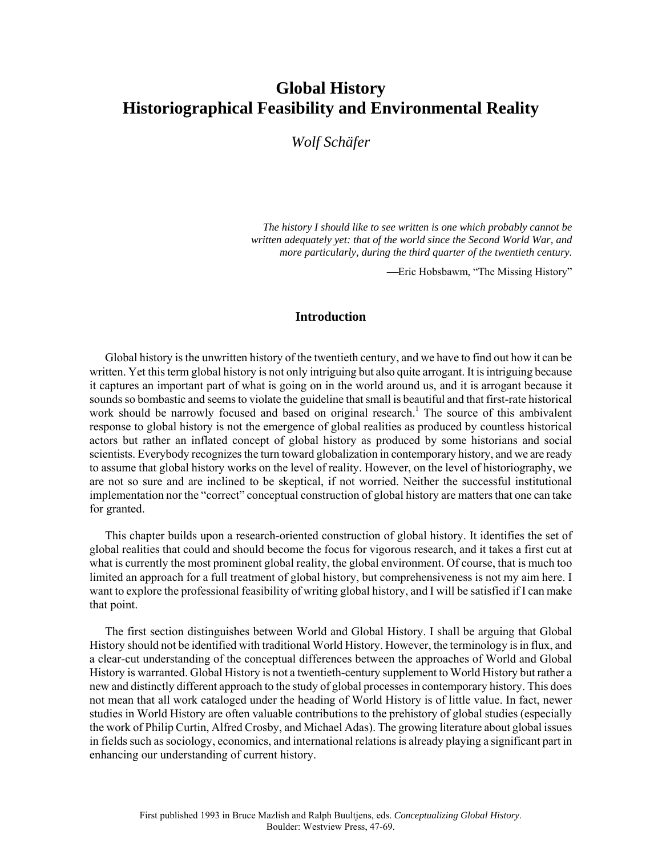# **Global History Historiographical Feasibility and Environmental Reality**

*Wolf Schäfer* 

*The history I should like to see written is one which probably cannot be written adequately yet: that of the world since the Second World War, and more particularly, during the third quarter of the twentieth century.* 

-Eric Hobsbawm, "The Missing History"

# **Introduction**

Global history is the unwritten history of the twentieth century, and we have to find out how it can be written. Yet this term global history is not only intriguing but also quite arrogant. It is intriguing because it captures an important part of what is going on in the world around us, and it is arrogant because it sounds so bombastic and seems to violate the guideline that small is beautiful and that first-rate historical work should be narrowly focused and based on original research.<sup>1</sup> The source of this ambivalent response to global history is not the emergence of global realities as produced by countless historical actors but rather an inflated concept of global history as produced by some historians and social scientists. Everybody recognizes the turn toward globalization in contemporary history, and we are ready to assume that global history works on the level of reality. However, on the level of historiography, we are not so sure and are inclined to be skeptical, if not worried. Neither the successful institutional implementation nor the "correct" conceptual construction of global history are matters that one can take for granted.

This chapter builds upon a research-oriented construction of global history. It identifies the set of global realities that could and should become the focus for vigorous research, and it takes a first cut at what is currently the most prominent global reality, the global environment. Of course, that is much too limited an approach for a full treatment of global history, but comprehensiveness is not my aim here. I want to explore the professional feasibility of writing global history, and I will be satisfied if I can make that point.

The first section distinguishes between World and Global History. I shall be arguing that Global History should not be identified with traditional World History. However, the terminology is in flux, and a clear-cut understanding of the conceptual differences between the approaches of World and Global History is warranted. Global History is not a twentieth-century supplement to World History but rather a new and distinctly different approach to the study of global processes in contemporary history. This does not mean that all work cataloged under the heading of World History is of little value. In fact, newer studies in World History are often valuable contributions to the prehistory of global studies (especially the work of Philip Curtin, Alfred Crosby, and Michael Adas). The growing literature about global issues in fields such as sociology, economics, and international relations is already playing a significant part in enhancing our understanding of current history.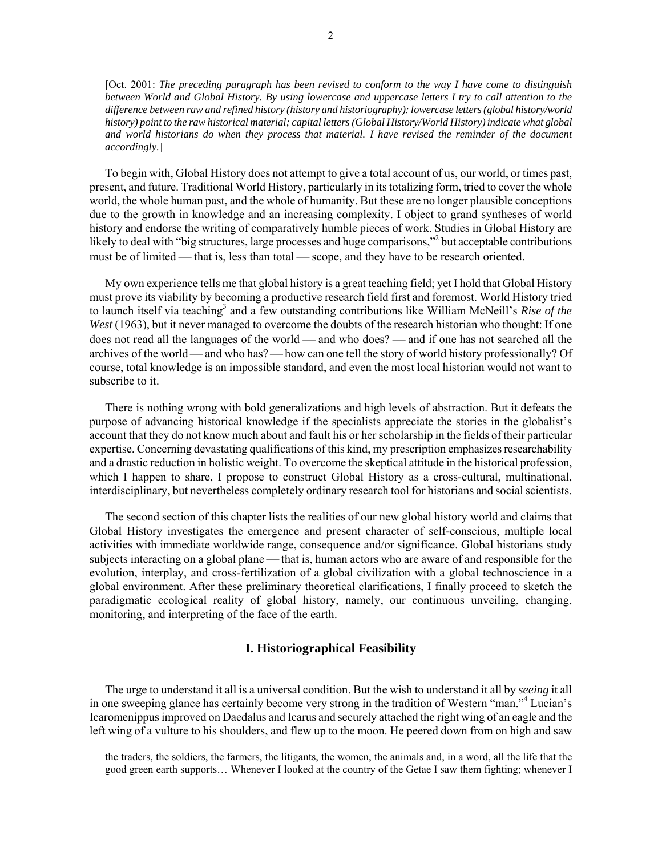[Oct. 2001: *The preceding paragraph has been revised to conform to the way I have come to distinguish between World and Global History. By using lowercase and uppercase letters I try to call attention to the difference between raw and refined history (history and historiography): lowercase letters (global history/world history) point to the raw historical material; capital letters (Global History/World History) indicate what global and world historians do when they process that material. I have revised the reminder of the document accordingly.*]

To begin with, Global History does not attempt to give a total account of us, our world, or times past, present, and future. Traditional World History, particularly in its totalizing form, tried to cover the whole world, the whole human past, and the whole of humanity. But these are no longer plausible conceptions due to the growth in knowledge and an increasing complexity. I object to grand syntheses of world history and endorse the writing of comparatively humble pieces of work. Studies in Global History are likely to deal with "big structures, large processes and huge comparisons,"<sup>2</sup> but acceptable contributions must be of limited — that is, less than total — scope, and they have to be research oriented.

My own experience tells me that global history is a great teaching field; yet I hold that Global History must prove its viability by becoming a productive research field first and foremost. World History tried to launch itself via teaching<sup>3</sup> and a few outstanding contributions like William McNeill's *Rise of the West* (1963), but it never managed to overcome the doubts of the research historian who thought: If one does not read all the languages of the world — and who does? — and if one has not searched all the archives of the world — and who has? — how can one tell the story of world history professionally? Of course, total knowledge is an impossible standard, and even the most local historian would not want to subscribe to it.

There is nothing wrong with bold generalizations and high levels of abstraction. But it defeats the purpose of advancing historical knowledge if the specialists appreciate the stories in the globalist's account that they do not know much about and fault his or her scholarship in the fields of their particular expertise. Concerning devastating qualifications of this kind, my prescription emphasizes researchability and a drastic reduction in holistic weight. To overcome the skeptical attitude in the historical profession, which I happen to share, I propose to construct Global History as a cross-cultural, multinational, interdisciplinary, but nevertheless completely ordinary research tool for historians and social scientists.

The second section of this chapter lists the realities of our new global history world and claims that Global History investigates the emergence and present character of self-conscious, multiple local activities with immediate worldwide range, consequence and/or significance. Global historians study subjects interacting on a global plane — that is, human actors who are aware of and responsible for the evolution, interplay, and cross-fertilization of a global civilization with a global technoscience in a global environment. After these preliminary theoretical clarifications, I finally proceed to sketch the paradigmatic ecological reality of global history, namely, our continuous unveiling, changing, monitoring, and interpreting of the face of the earth.

# **I. Historiographical Feasibility**

The urge to understand it all is a universal condition. But the wish to understand it all by *seeing* it all in one sweeping glance has certainly become very strong in the tradition of Western "man."4 Lucian's Icaromenippus improved on Daedalus and Icarus and securely attached the right wing of an eagle and the left wing of a vulture to his shoulders, and flew up to the moon. He peered down from on high and saw

the traders, the soldiers, the farmers, the litigants, the women, the animals and, in a word, all the life that the good green earth supports… Whenever I looked at the country of the Getae I saw them fighting; whenever I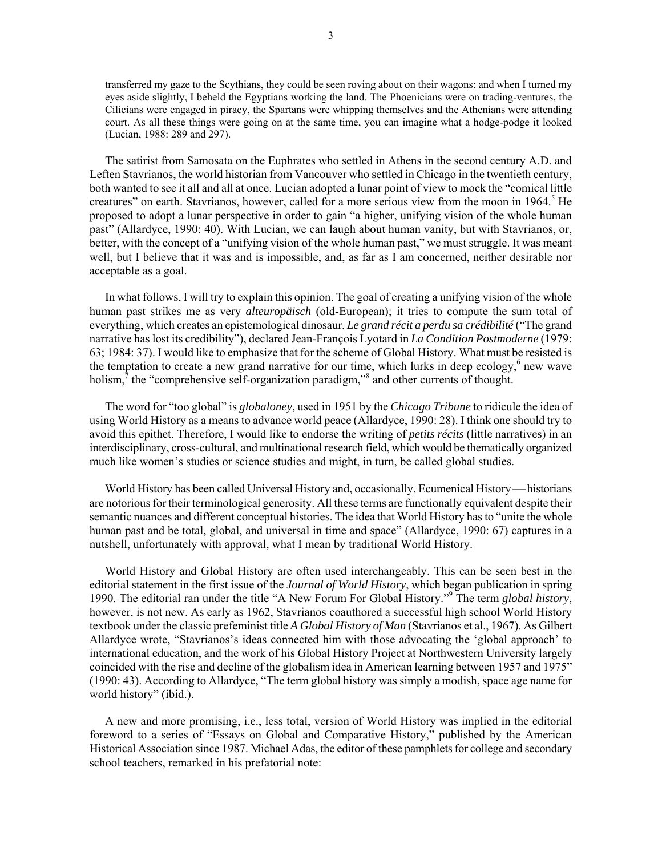transferred my gaze to the Scythians, they could be seen roving about on their wagons: and when I turned my eyes aside slightly, I beheld the Egyptians working the land. The Phoenicians were on trading-ventures, the Cilicians were engaged in piracy, the Spartans were whipping themselves and the Athenians were attending court. As all these things were going on at the same time, you can imagine what a hodge-podge it looked (Lucian, 1988: 289 and 297).

The satirist from Samosata on the Euphrates who settled in Athens in the second century A.D. and Leften Stavrianos, the world historian from Vancouver who settled in Chicago in the twentieth century, both wanted to see it all and all at once. Lucian adopted a lunar point of view to mock the "comical little creatures" on earth. Stavrianos, however, called for a more serious view from the moon in 1964.<sup>5</sup> He proposed to adopt a lunar perspective in order to gain "a higher, unifying vision of the whole human past" (Allardyce, 1990: 40). With Lucian, we can laugh about human vanity, but with Stavrianos, or, better, with the concept of a "unifying vision of the whole human past," we must struggle. It was meant well, but I believe that it was and is impossible, and, as far as I am concerned, neither desirable nor acceptable as a goal.

In what follows, I will try to explain this opinion. The goal of creating a unifying vision of the whole human past strikes me as very *alteuropäisch* (old-European); it tries to compute the sum total of everything, which creates an epistemological dinosaur. *Le grand récit a perdu sa crédibilité* ("The grand narrative has lost its credibility"), declared Jean-François Lyotard in *La Condition Postmoderne* (1979: 63; 1984: 37). I would like to emphasize that for the scheme of Global History. What must be resisted is the temptation to create a new grand narrative for our time, which lurks in deep ecology, $6$  new wave holism,  $\hat{i}$  the "comprehensive self-organization paradigm,"<sup>8</sup> and other currents of thought.

The word for "too global" is *globaloney*, used in 1951 by the *Chicago Tribune* to ridicule the idea of using World History as a means to advance world peace (Allardyce, 1990: 28). I think one should try to avoid this epithet. Therefore, I would like to endorse the writing of *petits récits* (little narratives) in an interdisciplinary, cross-cultural, and multinational research field, which would be thematically organized much like women's studies or science studies and might, in turn, be called global studies.

World History has been called Universal History and, occasionally, Ecumenical History — historians are notorious for their terminological generosity. All these terms are functionally equivalent despite their semantic nuances and different conceptual histories. The idea that World History has to "unite the whole human past and be total, global, and universal in time and space" (Allardyce, 1990: 67) captures in a nutshell, unfortunately with approval, what I mean by traditional World History.

World History and Global History are often used interchangeably. This can be seen best in the editorial statement in the first issue of the *Journal of World History*, which began publication in spring 1990. The editorial ran under the title "A New Forum For Global History."9 The term *global history*, however, is not new. As early as 1962, Stavrianos coauthored a successful high school World History textbook under the classic prefeminist title *A Global History of Man* (Stavrianos et al., 1967). As Gilbert Allardyce wrote, "Stavrianos's ideas connected him with those advocating the 'global approach' to international education, and the work of his Global History Project at Northwestern University largely coincided with the rise and decline of the globalism idea in American learning between 1957 and 1975" (1990: 43). According to Allardyce, "The term global history was simply a modish, space age name for world history" (ibid.).

A new and more promising, i.e., less total, version of World History was implied in the editorial foreword to a series of "Essays on Global and Comparative History," published by the American Historical Association since 1987. Michael Adas, the editor of these pamphlets for college and secondary school teachers, remarked in his prefatorial note: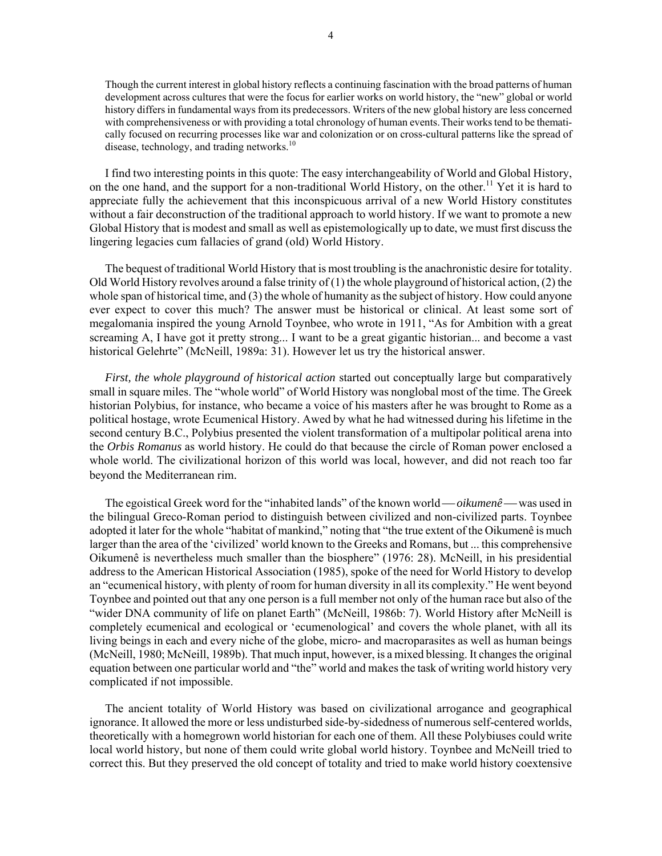Though the current interest in global history reflects a continuing fascination with the broad patterns of human development across cultures that were the focus for earlier works on world history, the "new" global or world history differs in fundamental ways from its predecessors. Writers of the new global history are less concerned with comprehensiveness or with providing a total chronology of human events. Their works tend to be thematically focused on recurring processes like war and colonization or on cross-cultural patterns like the spread of disease, technology, and trading networks.<sup>10</sup>

I find two interesting points in this quote: The easy interchangeability of World and Global History, on the one hand, and the support for a non-traditional World History, on the other.<sup>11</sup> Yet it is hard to appreciate fully the achievement that this inconspicuous arrival of a new World History constitutes without a fair deconstruction of the traditional approach to world history. If we want to promote a new Global History that is modest and small as well as epistemologically up to date, we must first discuss the lingering legacies cum fallacies of grand (old) World History.

The bequest of traditional World History that is most troubling is the anachronistic desire for totality. Old World History revolves around a false trinity of  $(1)$  the whole playground of historical action,  $(2)$  the whole span of historical time, and (3) the whole of humanity as the subject of history. How could anyone ever expect to cover this much? The answer must be historical or clinical. At least some sort of megalomania inspired the young Arnold Toynbee, who wrote in 1911, "As for Ambition with a great screaming A, I have got it pretty strong... I want to be a great gigantic historian... and become a vast historical Gelehrte" (McNeill, 1989a: 31). However let us try the historical answer.

*First, the whole playground of historical action* started out conceptually large but comparatively small in square miles. The "whole world" of World History was nonglobal most of the time. The Greek historian Polybius, for instance, who became a voice of his masters after he was brought to Rome as a political hostage, wrote Ecumenical History. Awed by what he had witnessed during his lifetime in the second century B.C., Polybius presented the violent transformation of a multipolar political arena into the *Orbis Romanus* as world history. He could do that because the circle of Roman power enclosed a whole world. The civilizational horizon of this world was local, however, and did not reach too far beyond the Mediterranean rim.

The egoistical Greek word for the "inhabited lands" of the known world — *oikumenê* — was used in the bilingual Greco-Roman period to distinguish between civilized and non-civilized parts. Toynbee adopted it later for the whole "habitat of mankind," noting that "the true extent of the Oikumenê is much larger than the area of the 'civilized' world known to the Greeks and Romans, but ... this comprehensive Oikumenê is nevertheless much smaller than the biosphere" (1976: 28). McNeill, in his presidential address to the American Historical Association (1985), spoke of the need for World History to develop an "ecumenical history, with plenty of room for human diversity in all its complexity." He went beyond Toynbee and pointed out that any one person is a full member not only of the human race but also of the "wider DNA community of life on planet Earth" (McNeill, 1986b: 7). World History after McNeill is completely ecumenical and ecological or 'ecumenological' and covers the whole planet, with all its living beings in each and every niche of the globe, micro- and macroparasites as well as human beings (McNeill, 1980; McNeill, 1989b). That much input, however, is a mixed blessing. It changes the original equation between one particular world and "the" world and makes the task of writing world history very complicated if not impossible.

The ancient totality of World History was based on civilizational arrogance and geographical ignorance. It allowed the more or less undisturbed side-by-sidedness of numerous self-centered worlds, theoretically with a homegrown world historian for each one of them. All these Polybiuses could write local world history, but none of them could write global world history. Toynbee and McNeill tried to correct this. But they preserved the old concept of totality and tried to make world history coextensive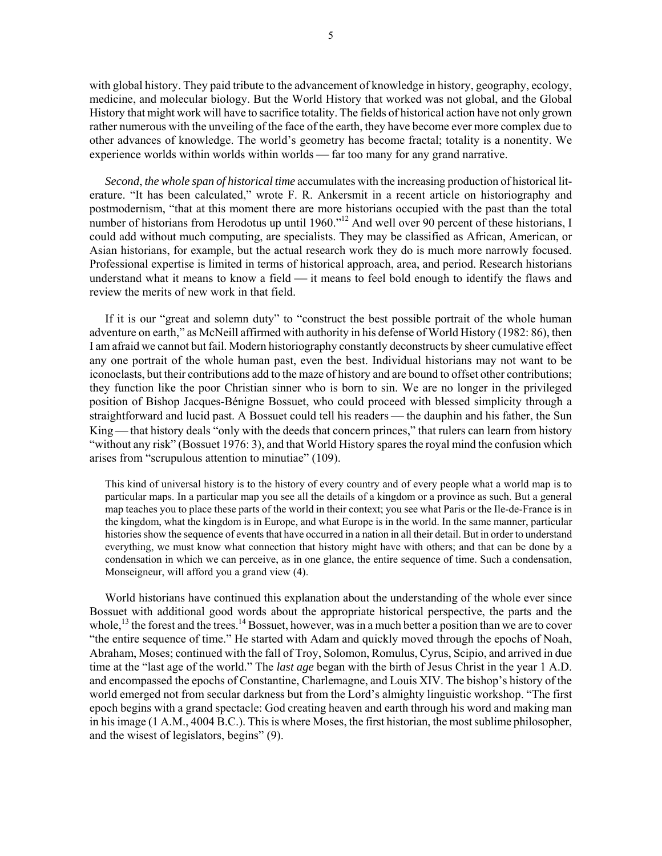with global history. They paid tribute to the advancement of knowledge in history, geography, ecology, medicine, and molecular biology. But the World History that worked was not global, and the Global History that might work will have to sacrifice totality. The fields of historical action have not only grown rather numerous with the unveiling of the face of the earth, they have become ever more complex due to other advances of knowledge. The world's geometry has become fractal; totality is a nonentity. We experience worlds within worlds within worlds  $\frac{m}{n}$  far too many for any grand narrative.

*Second*, *the whole span of historical time* accumulates with the increasing production of historical literature. "It has been calculated," wrote F. R. Ankersmit in a recent article on historiography and postmodernism, "that at this moment there are more historians occupied with the past than the total number of historians from Herodotus up until 1960."<sup>12</sup> And well over 90 percent of these historians, I could add without much computing, are specialists. They may be classified as African, American, or Asian historians, for example, but the actual research work they do is much more narrowly focused. Professional expertise is limited in terms of historical approach, area, and period. Research historians understand what it means to know a field  $\frac{d}{dx}$  it means to feel bold enough to identify the flaws and review the merits of new work in that field.

If it is our "great and solemn duty" to "construct the best possible portrait of the whole human adventure on earth," as McNeill affirmed with authority in his defense of World History (1982: 86), then I am afraid we cannot but fail. Modern historiography constantly deconstructs by sheer cumulative effect any one portrait of the whole human past, even the best. Individual historians may not want to be iconoclasts, but their contributions add to the maze of history and are bound to offset other contributions; they function like the poor Christian sinner who is born to sin. We are no longer in the privileged position of Bishop Jacques-Bénigne Bossuet, who could proceed with blessed simplicity through a straightforward and lucid past. A Bossuet could tell his readers — the dauphin and his father, the Sun King — that history deals "only with the deeds that concern princes," that rulers can learn from history "without any risk" (Bossuet 1976: 3), and that World History spares the royal mind the confusion which arises from "scrupulous attention to minutiae" (109).

This kind of universal history is to the history of every country and of every people what a world map is to particular maps. In a particular map you see all the details of a kingdom or a province as such. But a general map teaches you to place these parts of the world in their context; you see what Paris or the Ile-de-France is in the kingdom, what the kingdom is in Europe, and what Europe is in the world. In the same manner, particular histories show the sequence of events that have occurred in a nation in all their detail. But in order to understand everything, we must know what connection that history might have with others; and that can be done by a condensation in which we can perceive, as in one glance, the entire sequence of time. Such a condensation, Monseigneur, will afford you a grand view (4).

World historians have continued this explanation about the understanding of the whole ever since Bossuet with additional good words about the appropriate historical perspective, the parts and the whole,<sup>13</sup> the forest and the trees.<sup>14</sup> Bossuet, however, was in a much better a position than we are to cover "the entire sequence of time." He started with Adam and quickly moved through the epochs of Noah, Abraham, Moses; continued with the fall of Troy, Solomon, Romulus, Cyrus, Scipio, and arrived in due time at the "last age of the world." The *last age* began with the birth of Jesus Christ in the year 1 A.D. and encompassed the epochs of Constantine, Charlemagne, and Louis XIV. The bishop's history of the world emerged not from secular darkness but from the Lord's almighty linguistic workshop. "The first epoch begins with a grand spectacle: God creating heaven and earth through his word and making man in his image (1 A.M., 4004 B.C.). This is where Moses, the first historian, the most sublime philosopher, and the wisest of legislators, begins" (9).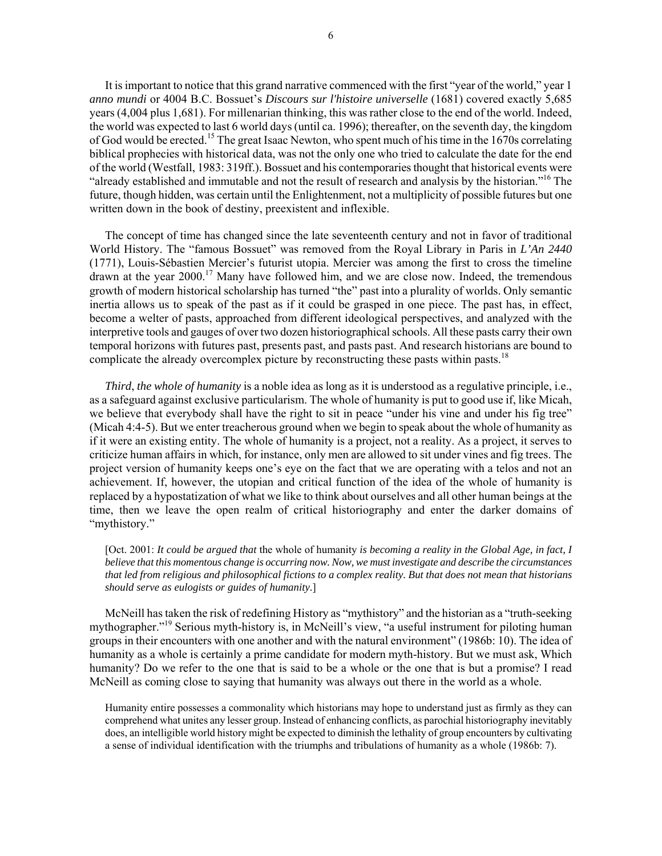It is important to notice that this grand narrative commenced with the first "year of the world," year 1 *anno mundi* or 4004 B.C. Bossuet's *Discours sur l'histoire universelle* (1681) covered exactly 5,685 years (4,004 plus 1,681). For millenarian thinking, this was rather close to the end of the world. Indeed, the world was expected to last 6 world days (until ca. 1996); thereafter, on the seventh day, the kingdom of God would be erected.15 The great Isaac Newton, who spent much of his time in the 1670s correlating biblical prophecies with historical data, was not the only one who tried to calculate the date for the end of the world (Westfall, 1983: 319ff.). Bossuet and his contemporaries thought that historical events were "already established and immutable and not the result of research and analysis by the historian."16 The future, though hidden, was certain until the Enlightenment, not a multiplicity of possible futures but one written down in the book of destiny, preexistent and inflexible.

The concept of time has changed since the late seventeenth century and not in favor of traditional World History. The "famous Bossuet" was removed from the Royal Library in Paris in *L'An 2440* (1771), Louis-Sébastien Mercier's futurist utopia. Mercier was among the first to cross the timeline drawn at the year 2000.17 Many have followed him, and we are close now. Indeed, the tremendous growth of modern historical scholarship has turned "the" past into a plurality of worlds. Only semantic inertia allows us to speak of the past as if it could be grasped in one piece. The past has, in effect, become a welter of pasts, approached from different ideological perspectives, and analyzed with the interpretive tools and gauges of over two dozen historiographical schools. All these pasts carry their own temporal horizons with futures past, presents past, and pasts past. And research historians are bound to complicate the already overcomplex picture by reconstructing these pasts within pasts.<sup>18</sup>

*Third*, *the whole of humanity* is a noble idea as long as it is understood as a regulative principle, i.e., as a safeguard against exclusive particularism. The whole of humanity is put to good use if, like Micah, we believe that everybody shall have the right to sit in peace "under his vine and under his fig tree" (Micah 4:4-5). But we enter treacherous ground when we begin to speak about the whole of humanity as if it were an existing entity. The whole of humanity is a project, not a reality. As a project, it serves to criticize human affairs in which, for instance, only men are allowed to sit under vines and fig trees. The project version of humanity keeps one's eye on the fact that we are operating with a telos and not an achievement. If, however, the utopian and critical function of the idea of the whole of humanity is replaced by a hypostatization of what we like to think about ourselves and all other human beings at the time, then we leave the open realm of critical historiography and enter the darker domains of "mythistory."

[Oct. 2001: *It could be argued that* the whole of humanity *is becoming a reality in the Global Age, in fact, I believe that this momentous change is occurring now. Now, we must investigate and describe the circumstances that led from religious and philosophical fictions to a complex reality. But that does not mean that historians should serve as eulogists or guides of humanity.*]

McNeill has taken the risk of redefining History as "mythistory" and the historian as a "truth-seeking mythographer."<sup>19</sup> Serious myth-history is, in McNeill's view, "a useful instrument for piloting human groups in their encounters with one another and with the natural environment" (1986b: 10). The idea of humanity as a whole is certainly a prime candidate for modern myth-history. But we must ask, Which humanity? Do we refer to the one that is said to be a whole or the one that is but a promise? I read McNeill as coming close to saying that humanity was always out there in the world as a whole.

Humanity entire possesses a commonality which historians may hope to understand just as firmly as they can comprehend what unites any lesser group. Instead of enhancing conflicts, as parochial historiography inevitably does, an intelligible world history might be expected to diminish the lethality of group encounters by cultivating a sense of individual identification with the triumphs and tribulations of humanity as a whole (1986b: 7).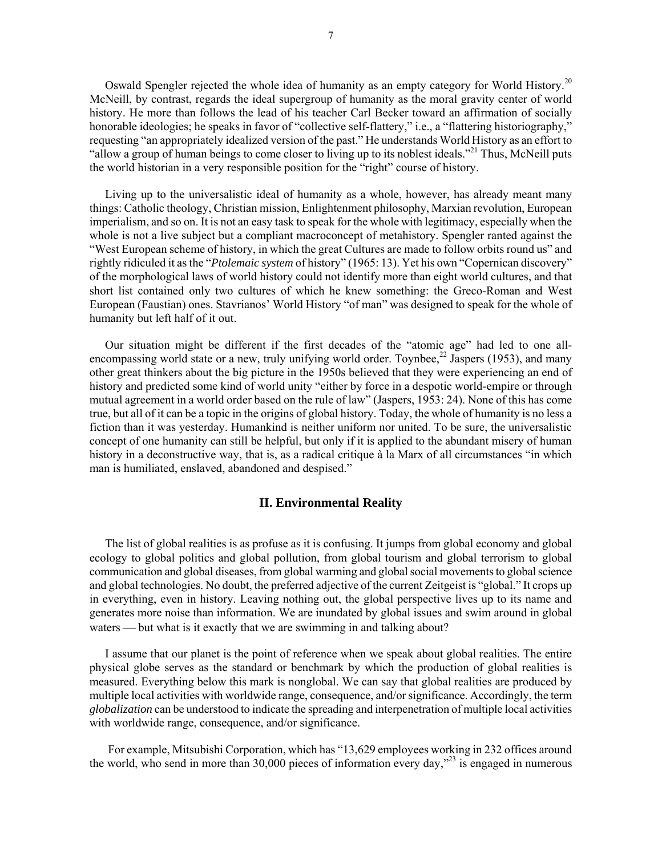Oswald Spengler rejected the whole idea of humanity as an empty category for World History.<sup>20</sup> McNeill, by contrast, regards the ideal supergroup of humanity as the moral gravity center of world history. He more than follows the lead of his teacher Carl Becker toward an affirmation of socially honorable ideologies; he speaks in favor of "collective self-flattery," i.e., a "flattering historiography," requesting "an appropriately idealized version of the past." He understands World History as an effort to "allow a group of human beings to come closer to living up to its noblest ideals."21 Thus, McNeill puts the world historian in a very responsible position for the "right" course of history.

Living up to the universalistic ideal of humanity as a whole, however, has already meant many things: Catholic theology, Christian mission, Enlightenment philosophy, Marxian revolution, European imperialism, and so on. It is not an easy task to speak for the whole with legitimacy, especially when the whole is not a live subject but a compliant macroconcept of metahistory. Spengler ranted against the "West European scheme of history, in which the great Cultures are made to follow orbits round us" and rightly ridiculed it as the "*Ptolemaic system* of history" (1965: 13). Yet his own "Copernican discovery" of the morphological laws of world history could not identify more than eight world cultures, and that short list contained only two cultures of which he knew something: the Greco-Roman and West European (Faustian) ones. Stavrianos' World History "of man" was designed to speak for the whole of humanity but left half of it out.

Our situation might be different if the first decades of the "atomic age" had led to one allencompassing world state or a new, truly unifying world order. Toynbee,<sup>22</sup> Jaspers (1953), and many other great thinkers about the big picture in the 1950s believed that they were experiencing an end of history and predicted some kind of world unity "either by force in a despotic world-empire or through mutual agreement in a world order based on the rule of law" (Jaspers, 1953: 24). None of this has come true, but all of it can be a topic in the origins of global history. Today, the whole of humanity is no less a fiction than it was yesterday. Humankind is neither uniform nor united. To be sure, the universalistic concept of one humanity can still be helpful, but only if it is applied to the abundant misery of human history in a deconstructive way, that is, as a radical critique à la Marx of all circumstances "in which man is humiliated, enslaved, abandoned and despised."

## **II. Environmental Reality**

The list of global realities is as profuse as it is confusing. It jumps from global economy and global ecology to global politics and global pollution, from global tourism and global terrorism to global communication and global diseases, from global warming and global social movements to global science and global technologies. No doubt, the preferred adjective of the current Zeitgeist is "global." It crops up in everything, even in history. Leaving nothing out, the global perspective lives up to its name and generates more noise than information. We are inundated by global issues and swim around in global waters — but what is it exactly that we are swimming in and talking about?

I assume that our planet is the point of reference when we speak about global realities. The entire physical globe serves as the standard or benchmark by which the production of global realities is measured. Everything below this mark is nonglobal. We can say that global realities are produced by multiple local activities with worldwide range, consequence, and/or significance. Accordingly, the term *globalization* can be understood to indicate the spreading and interpenetration of multiple local activities with worldwide range, consequence, and/or significance.

 For example, Mitsubishi Corporation, which has "13,629 employees working in 232 offices around the world, who send in more than 30,000 pieces of information every day,"<sup>23</sup> is engaged in numerous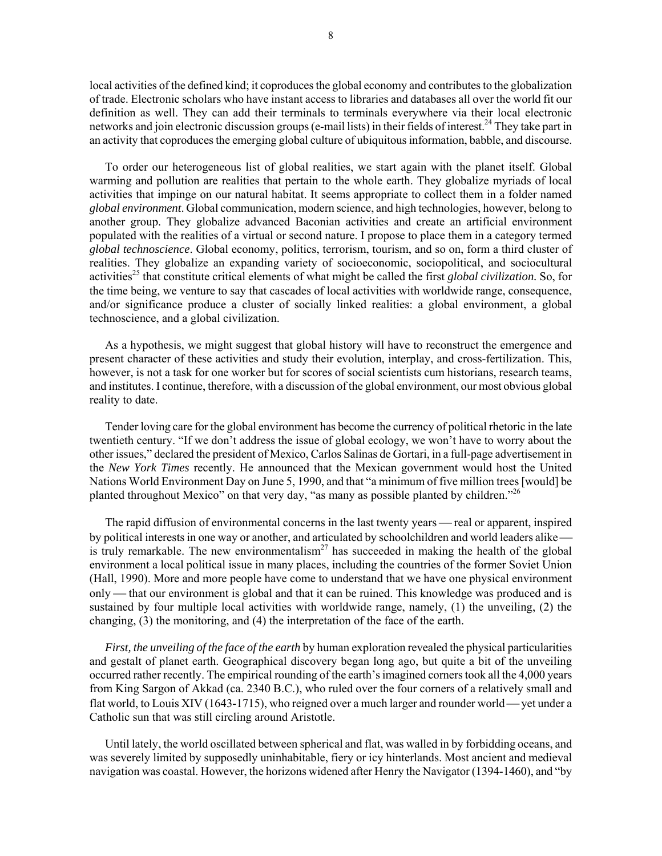local activities of the defined kind; it coproduces the global economy and contributes to the globalization of trade. Electronic scholars who have instant access to libraries and databases all over the world fit our definition as well. They can add their terminals to terminals everywhere via their local electronic networks and join electronic discussion groups (e-mail lists) in their fields of interest.<sup>24</sup> They take part in an activity that coproduces the emerging global culture of ubiquitous information, babble, and discourse.

To order our heterogeneous list of global realities, we start again with the planet itself. Global warming and pollution are realities that pertain to the whole earth. They globalize myriads of local activities that impinge on our natural habitat. It seems appropriate to collect them in a folder named *global environment*. Global communication, modern science, and high technologies, however, belong to another group. They globalize advanced Baconian activities and create an artificial environment populated with the realities of a virtual or second nature. I propose to place them in a category termed *global technoscience*. Global economy, politics, terrorism, tourism, and so on, form a third cluster of realities. They globalize an expanding variety of socioeconomic, sociopolitical, and sociocultural activities<sup>25</sup> that constitute critical elements of what might be called the first *global civilization*. So, for the time being, we venture to say that cascades of local activities with worldwide range, consequence, and/or significance produce a cluster of socially linked realities: a global environment, a global technoscience, and a global civilization.

As a hypothesis, we might suggest that global history will have to reconstruct the emergence and present character of these activities and study their evolution, interplay, and cross-fertilization. This, however, is not a task for one worker but for scores of social scientists cum historians, research teams, and institutes. I continue, therefore, with a discussion of the global environment, our most obvious global reality to date.

Tender loving care for the global environment has become the currency of political rhetoric in the late twentieth century. "If we don't address the issue of global ecology, we won't have to worry about the other issues," declared the president of Mexico, Carlos Salinas de Gortari, in a full-page advertisement in the *New York Times* recently. He announced that the Mexican government would host the United Nations World Environment Day on June 5, 1990, and that "a minimum of five million trees [would] be planted throughout Mexico" on that very day, "as many as possible planted by children."<sup>26</sup>

The rapid diffusion of environmental concerns in the last twenty years — real or apparent, inspired by political interests in one way or another, and articulated by schoolchildren and world leaders alike is truly remarkable. The new environmentalism<sup>27</sup> has succeeded in making the health of the global environment a local political issue in many places, including the countries of the former Soviet Union (Hall, 1990). More and more people have come to understand that we have one physical environment only — that our environment is global and that it can be ruined. This knowledge was produced and is sustained by four multiple local activities with worldwide range, namely, (1) the unveiling, (2) the changing, (3) the monitoring, and (4) the interpretation of the face of the earth.

*First, the unveiling of the face of the earth* by human exploration revealed the physical particularities and gestalt of planet earth. Geographical discovery began long ago, but quite a bit of the unveiling occurred rather recently. The empirical rounding of the earth's imagined corners took all the 4,000 years from King Sargon of Akkad (ca. 2340 B.C.), who ruled over the four corners of a relatively small and flat world, to Louis XIV (1643-1715), who reigned over a much larger and rounder world — vet under a Catholic sun that was still circling around Aristotle.

Until lately, the world oscillated between spherical and flat, was walled in by forbidding oceans, and was severely limited by supposedly uninhabitable, fiery or icy hinterlands. Most ancient and medieval navigation was coastal. However, the horizons widened after Henry the Navigator (1394-1460), and "by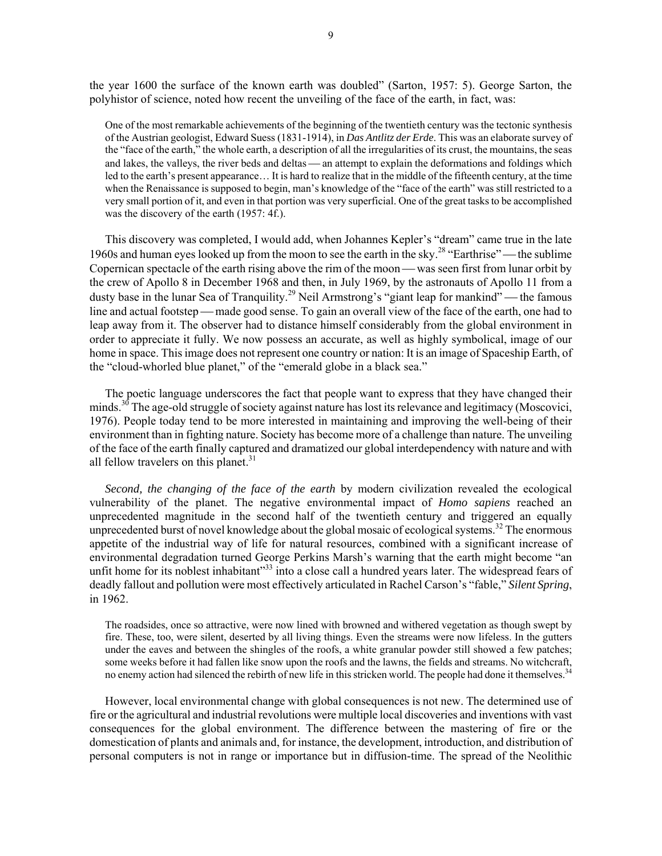the year 1600 the surface of the known earth was doubled" (Sarton, 1957: 5). George Sarton, the polyhistor of science, noted how recent the unveiling of the face of the earth, in fact, was:

One of the most remarkable achievements of the beginning of the twentieth century was the tectonic synthesis of the Austrian geologist, Edward Suess (1831-1914), in *Das Antlitz der Erde*. This was an elaborate survey of the "face of the earth," the whole earth, a description of all the irregularities of its crust, the mountains, the seas and lakes, the valleys, the river beds and deltas — an attempt to explain the deformations and foldings which led to the earth's present appearance... It is hard to realize that in the middle of the fifteenth century, at the time when the Renaissance is supposed to begin, man's knowledge of the "face of the earth" was still restricted to a very small portion of it, and even in that portion was very superficial. One of the great tasks to be accomplished was the discovery of the earth (1957: 4f.).

This discovery was completed, I would add, when Johannes Kepler's "dream" came true in the late 1960s and human eyes looked up from the moon to see the earth in the sky.<sup>28</sup> "Earthrise" — the sublime Copernican spectacle of the earth rising above the rim of the moon — was seen first from lunar orbit by the crew of Apollo 8 in December 1968 and then, in July 1969, by the astronauts of Apollo 11 from a dusty base in the lunar Sea of Tranquility.<sup>29</sup> Neil Armstrong's "giant leap for mankind" — the famous line and actual footstep — made good sense. To gain an overall view of the face of the earth, one had to leap away from it. The observer had to distance himself considerably from the global environment in order to appreciate it fully. We now possess an accurate, as well as highly symbolical, image of our home in space. This image does not represent one country or nation: It is an image of Spaceship Earth, of the "cloud-whorled blue planet," of the "emerald globe in a black sea."

The poetic language underscores the fact that people want to express that they have changed their minds.<sup>30</sup> The age-old struggle of society against nature has lost its relevance and legitimacy (Moscovici, 1976). People today tend to be more interested in maintaining and improving the well-being of their environment than in fighting nature. Society has become more of a challenge than nature. The unveiling of the face of the earth finally captured and dramatized our global interdependency with nature and with all fellow travelers on this planet. $31$ 

*Second, the changing of the face of the earth* by modern civilization revealed the ecological vulnerability of the planet. The negative environmental impact of *Homo sapiens* reached an unprecedented magnitude in the second half of the twentieth century and triggered an equally unprecedented burst of novel knowledge about the global mosaic of ecological systems.<sup>32</sup> The enormous appetite of the industrial way of life for natural resources, combined with a significant increase of environmental degradation turned George Perkins Marsh's warning that the earth might become "an unfit home for its noblest inhabitant<sup>333</sup> into a close call a hundred years later. The widespread fears of deadly fallout and pollution were most effectively articulated in Rachel Carson's "fable," *Silent Spring*, in 1962.

The roadsides, once so attractive, were now lined with browned and withered vegetation as though swept by fire. These, too, were silent, deserted by all living things. Even the streams were now lifeless. In the gutters under the eaves and between the shingles of the roofs, a white granular powder still showed a few patches; some weeks before it had fallen like snow upon the roofs and the lawns, the fields and streams. No witchcraft, no enemy action had silenced the rebirth of new life in this stricken world. The people had done it themselves.<sup>34</sup>

However, local environmental change with global consequences is not new. The determined use of fire or the agricultural and industrial revolutions were multiple local discoveries and inventions with vast consequences for the global environment. The difference between the mastering of fire or the domestication of plants and animals and, for instance, the development, introduction, and distribution of personal computers is not in range or importance but in diffusion-time. The spread of the Neolithic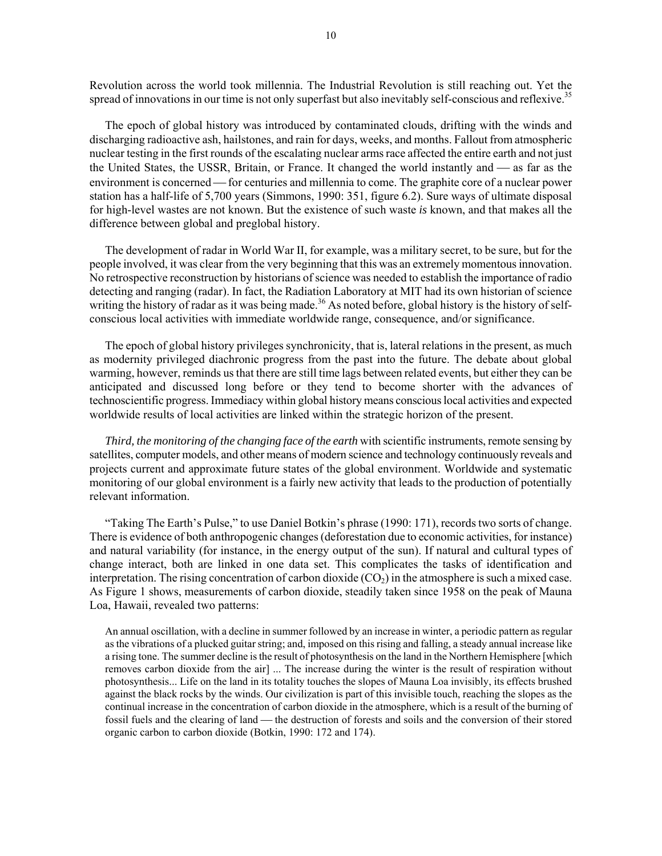Revolution across the world took millennia. The Industrial Revolution is still reaching out. Yet the spread of innovations in our time is not only superfast but also inevitably self-conscious and reflexive.<sup>35</sup>

The epoch of global history was introduced by contaminated clouds, drifting with the winds and discharging radioactive ash, hailstones, and rain for days, weeks, and months. Fallout from atmospheric nuclear testing in the first rounds of the escalating nuclear arms race affected the entire earth and not just the United States, the USSR, Britain, or France. It changed the world instantly and  $\sim$  as far as the environment is concerned — for centuries and millennia to come. The graphite core of a nuclear power station has a half-life of 5,700 years (Simmons, 1990: 351, figure 6.2). Sure ways of ultimate disposal for high-level wastes are not known. But the existence of such waste *is* known, and that makes all the difference between global and preglobal history.

The development of radar in World War II, for example, was a military secret, to be sure, but for the people involved, it was clear from the very beginning that this was an extremely momentous innovation. No retrospective reconstruction by historians of science was needed to establish the importance of radio detecting and ranging (radar). In fact, the Radiation Laboratory at MIT had its own historian of science writing the history of radar as it was being made.<sup>36</sup> As noted before, global history is the history of selfconscious local activities with immediate worldwide range, consequence, and/or significance.

The epoch of global history privileges synchronicity, that is, lateral relations in the present, as much as modernity privileged diachronic progress from the past into the future. The debate about global warming, however, reminds us that there are still time lags between related events, but either they can be anticipated and discussed long before or they tend to become shorter with the advances of technoscientific progress. Immediacy within global history means conscious local activities and expected worldwide results of local activities are linked within the strategic horizon of the present.

*Third, the monitoring of the changing face of the earth* with scientific instruments, remote sensing by satellites, computer models, and other means of modern science and technology continuously reveals and projects current and approximate future states of the global environment. Worldwide and systematic monitoring of our global environment is a fairly new activity that leads to the production of potentially relevant information.

"Taking The Earth's Pulse," to use Daniel Botkin's phrase (1990: 171), records two sorts of change. There is evidence of both anthropogenic changes (deforestation due to economic activities, for instance) and natural variability (for instance, in the energy output of the sun). If natural and cultural types of change interact, both are linked in one data set. This complicates the tasks of identification and interpretation. The rising concentration of carbon dioxide  $(CO<sub>2</sub>)$  in the atmosphere is such a mixed case. As Figure 1 shows, measurements of carbon dioxide, steadily taken since 1958 on the peak of Mauna Loa, Hawaii, revealed two patterns:

An annual oscillation, with a decline in summer followed by an increase in winter, a periodic pattern as regular as the vibrations of a plucked guitar string; and, imposed on this rising and falling, a steady annual increase like a rising tone. The summer decline is the result of photosynthesis on the land in the Northern Hemisphere [which removes carbon dioxide from the air] ... The increase during the winter is the result of respiration without photosynthesis... Life on the land in its totality touches the slopes of Mauna Loa invisibly, its effects brushed against the black rocks by the winds. Our civilization is part of this invisible touch, reaching the slopes as the continual increase in the concentration of carbon dioxide in the atmosphere, which is a result of the burning of fossil fuels and the clearing of land — the destruction of forests and soils and the conversion of their stored organic carbon to carbon dioxide (Botkin, 1990: 172 and 174).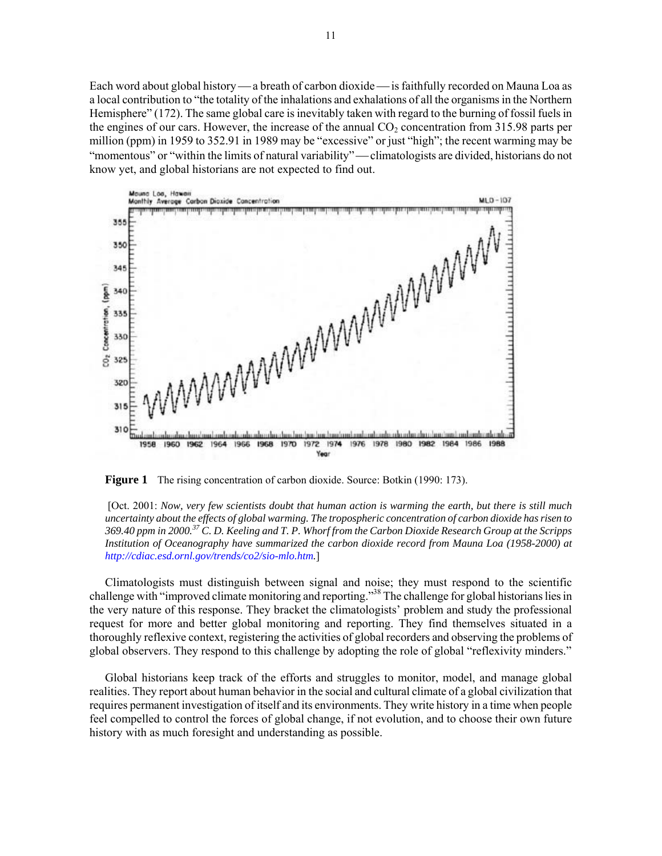Each word about global history — a breath of carbon dioxide — is faithfully recorded on Mauna Loa as a local contribution to "the totality of the inhalations and exhalations of all the organisms in the Northern Hemisphere" (172). The same global care is inevitably taken with regard to the burning of fossil fuels in the engines of our cars. However, the increase of the annual  $CO<sub>2</sub>$  concentration from 315.98 parts per million (ppm) in 1959 to 352.91 in 1989 may be "excessive" or just "high"; the recent warming may be "momentous" or "within the limits of natural variability"— climatologists are divided, historians do not know yet, and global historians are not expected to find out.



Figure 1 The rising concentration of carbon dioxide. Source: Botkin (1990: 173).

 [Oct. 2001: *Now, very few scientists doubt that human action is warming the earth, but there is still much uncertainty about the effects of global warming. The tropospheric concentration of carbon dioxide has risen to 369.40 ppm in 2000.37 C. D. Keeling and T. P. Whorf from the Carbon Dioxide Research Group at the Scripps Institution of Oceanography have summarized the carbon dioxide record from Mauna Loa (1958-2000) at [http://cdiac.esd.ornl.gov/trends/co2/sio-mlo.htm.](http://cdiac.esd.ornl.gov/trends/co2/sio-mlo.htm)*]

Climatologists must distinguish between signal and noise; they must respond to the scientific challenge with "improved climate monitoring and reporting."38 The challenge for global historians lies in the very nature of this response. They bracket the climatologists' problem and study the professional request for more and better global monitoring and reporting. They find themselves situated in a thoroughly reflexive context, registering the activities of global recorders and observing the problems of global observers. They respond to this challenge by adopting the role of global "reflexivity minders."

Global historians keep track of the efforts and struggles to monitor, model, and manage global realities. They report about human behavior in the social and cultural climate of a global civilization that requires permanent investigation of itself and its environments. They write history in a time when people feel compelled to control the forces of global change, if not evolution, and to choose their own future history with as much foresight and understanding as possible.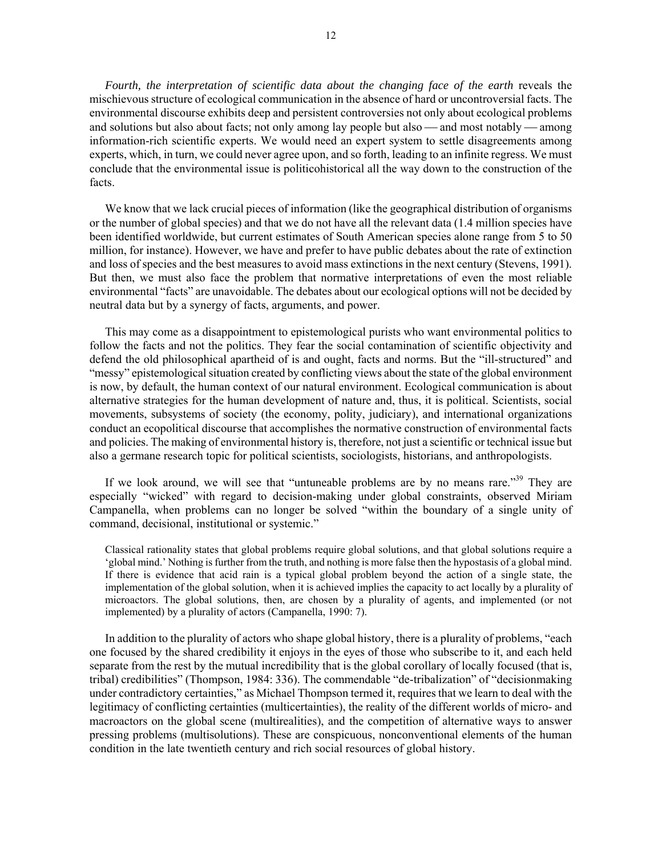*Fourth, the interpretation of scientific data about the changing face of the earth* reveals the mischievous structure of ecological communication in the absence of hard or uncontroversial facts. The environmental discourse exhibits deep and persistent controversies not only about ecological problems and solutions but also about facts; not only among lay people but also — and most notably — among information-rich scientific experts. We would need an expert system to settle disagreements among experts, which, in turn, we could never agree upon, and so forth, leading to an infinite regress. We must conclude that the environmental issue is politicohistorical all the way down to the construction of the facts.

We know that we lack crucial pieces of information (like the geographical distribution of organisms or the number of global species) and that we do not have all the relevant data (1.4 million species have been identified worldwide, but current estimates of South American species alone range from 5 to 50 million, for instance). However, we have and prefer to have public debates about the rate of extinction and loss of species and the best measures to avoid mass extinctions in the next century (Stevens, 1991). But then, we must also face the problem that normative interpretations of even the most reliable environmental "facts" are unavoidable. The debates about our ecological options will not be decided by neutral data but by a synergy of facts, arguments, and power.

This may come as a disappointment to epistemological purists who want environmental politics to follow the facts and not the politics. They fear the social contamination of scientific objectivity and defend the old philosophical apartheid of is and ought, facts and norms. But the "ill-structured" and "messy" epistemological situation created by conflicting views about the state of the global environment is now, by default, the human context of our natural environment. Ecological communication is about alternative strategies for the human development of nature and, thus, it is political. Scientists, social movements, subsystems of society (the economy, polity, judiciary), and international organizations conduct an ecopolitical discourse that accomplishes the normative construction of environmental facts and policies. The making of environmental history is, therefore, not just a scientific or technical issue but also a germane research topic for political scientists, sociologists, historians, and anthropologists.

If we look around, we will see that "untuneable problems are by no means rare."<sup>39</sup> They are especially "wicked" with regard to decision-making under global constraints, observed Miriam Campanella, when problems can no longer be solved "within the boundary of a single unity of command, decisional, institutional or systemic."

Classical rationality states that global problems require global solutions, and that global solutions require a 'global mind.' Nothing is further from the truth, and nothing is more false then the hypostasis of a global mind. If there is evidence that acid rain is a typical global problem beyond the action of a single state, the implementation of the global solution, when it is achieved implies the capacity to act locally by a plurality of microactors. The global solutions, then, are chosen by a plurality of agents, and implemented (or not implemented) by a plurality of actors (Campanella, 1990: 7).

In addition to the plurality of actors who shape global history, there is a plurality of problems, "each one focused by the shared credibility it enjoys in the eyes of those who subscribe to it, and each held separate from the rest by the mutual incredibility that is the global corollary of locally focused (that is, tribal) credibilities" (Thompson, 1984: 336). The commendable "de-tribalization" of "decisionmaking under contradictory certainties," as Michael Thompson termed it, requires that we learn to deal with the legitimacy of conflicting certainties (multicertainties), the reality of the different worlds of micro- and macroactors on the global scene (multirealities), and the competition of alternative ways to answer pressing problems (multisolutions). These are conspicuous, nonconventional elements of the human condition in the late twentieth century and rich social resources of global history.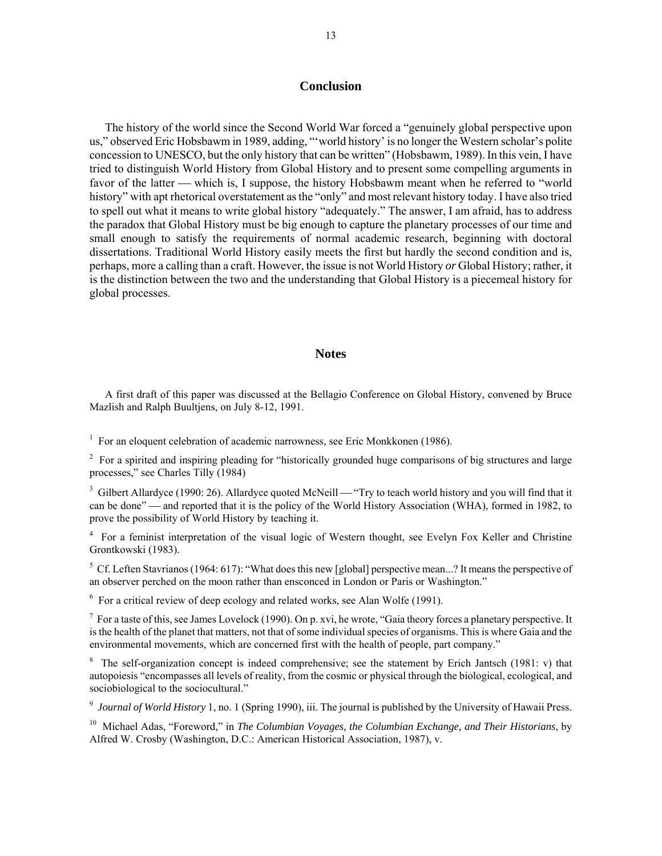## **Conclusion**

The history of the world since the Second World War forced a "genuinely global perspective upon us," observed Eric Hobsbawm in 1989, adding, "'world history' is no longer the Western scholar's polite concession to UNESCO, but the only history that can be written" (Hobsbawm, 1989). In this vein, I have tried to distinguish World History from Global History and to present some compelling arguments in favor of the latter — which is, I suppose, the history Hobsbawm meant when he referred to "world history" with apt rhetorical overstatement as the "only" and most relevant history today. I have also tried to spell out what it means to write global history "adequately." The answer, I am afraid, has to address the paradox that Global History must be big enough to capture the planetary processes of our time and small enough to satisfy the requirements of normal academic research, beginning with doctoral dissertations. Traditional World History easily meets the first but hardly the second condition and is, perhaps, more a calling than a craft. However, the issue is not World History *or* Global History; rather, it is the distinction between the two and the understanding that Global History is a piecemeal history for global processes.

### **Notes**

A first draft of this paper was discussed at the Bellagio Conference on Global History, convened by Bruce Mazlish and Ralph Buultjens, on July 8-12, 1991.

<sup>1</sup> For an eloquent celebration of academic narrowness, see Eric Monkkonen (1986).

 $2^2$  For a spirited and inspiring pleading for "historically grounded huge comparisons of big structures and large processes," see Charles Tilly (1984)

 $3$  Gilbert Allardyce (1990: 26). Allardyce quoted McNeill — "Try to teach world history and you will find that it can be done" — and reported that it is the policy of the World History Association (WHA), formed in 1982, to prove the possibility of World History by teaching it.

4 For a feminist interpretation of the visual logic of Western thought, see Evelyn Fox Keller and Christine Grontkowski (1983).

<sup>5</sup> Cf. Leften Stavrianos (1964: 617): "What does this new [global] perspective mean...? It means the perspective of an observer perched on the moon rather than ensconced in London or Paris or Washington."

 $6$  For a critical review of deep ecology and related works, see Alan Wolfe (1991).

 $^7$  For a taste of this, see James Lovelock (1990). On p. xvi, he wrote, "Gaia theory forces a planetary perspective. It is the health of the planet that matters, not that of some individual species of organisms. This is where Gaia and the environmental movements, which are concerned first with the health of people, part company."

<sup>8</sup> The self-organization concept is indeed comprehensive; see the statement by Erich Jantsch (1981: v) that autopoiesis "encompasses all levels of reality, from the cosmic or physical through the biological, ecological, and sociobiological to the sociocultural."

9 *Journal of World History* 1, no. 1 (Spring 1990), iii. The journal is published by the University of Hawaii Press.

10 Michael Adas, "Foreword," in *The Columbian Voyages, the Columbian Exchange, and Their Historians*, by Alfred W. Crosby (Washington, D.C.: American Historical Association, 1987), v.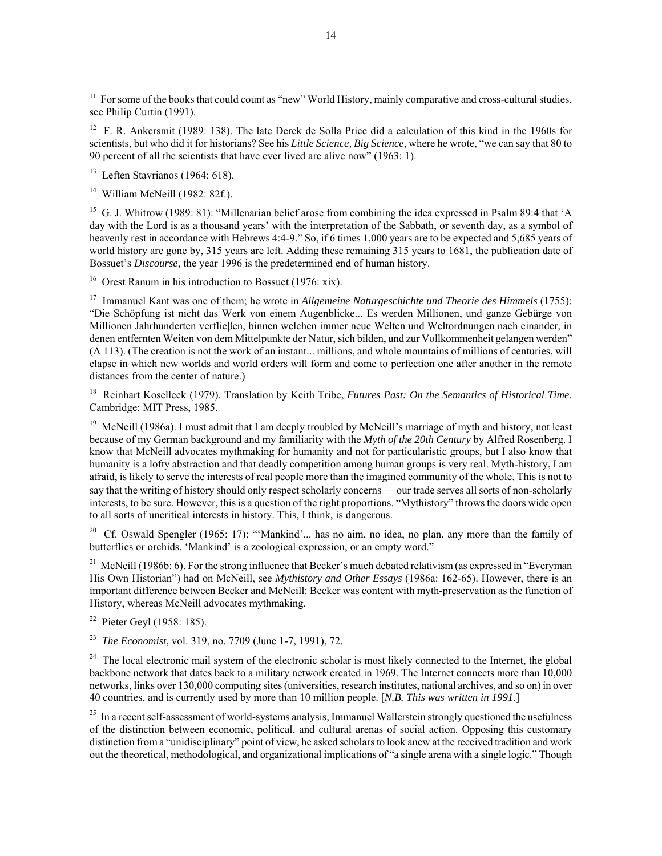<sup>11</sup> For some of the books that could count as "new" World History, mainly comparative and cross-cultural studies, see Philip Curtin (1991).

<sup>12</sup> F. R. Ankersmit (1989: 138). The late Derek de Solla Price did a calculation of this kind in the 1960s for scientists, but who did it for historians? See his *Little Science, Big Science*, where he wrote, "we can say that 80 to 90 percent of all the scientists that have ever lived are alive now" (1963: 1).

 $13$  Leften Stavrianos (1964: 618).

 $14$  William McNeill (1982: 82f.).

<sup>15</sup> G. J. Whitrow (1989: 81): "Millenarian belief arose from combining the idea expressed in Psalm 89:4 that 'A day with the Lord is as a thousand years' with the interpretation of the Sabbath, or seventh day, as a symbol of heavenly rest in accordance with Hebrews 4:4-9." So, if 6 times 1,000 years are to be expected and 5,685 years of world history are gone by, 315 years are left. Adding these remaining 315 years to 1681, the publication date of Bossuet's *Discourse*, the year 1996 is the predetermined end of human history.

<sup>16</sup> Orest Ranum in his introduction to Bossuet (1976: xix).

17 Immanuel Kant was one of them; he wrote in *Allgemeine Naturgeschichte und Theorie des Himmels* (1755): "Die Schöpfung ist nicht das Werk von einem Augenblicke... Es werden Millionen, und ganze Gebürge von Millionen Jahrhunderten verflieβen, binnen welchen immer neue Welten und Weltordnungen nach einander, in denen entfernten Weiten von dem Mittelpunkte der Natur, sich bilden, und zur Vollkommenheit gelangen werden" (A 113). (The creation is not the work of an instant... millions, and whole mountains of millions of centuries, will elapse in which new worlds and world orders will form and come to perfection one after another in the remote distances from the center of nature.)

18 Reinhart Koselleck (1979). Translation by Keith Tribe, *Futures Past: On the Semantics of Historical Time*. Cambridge: MIT Press, 1985.

<sup>19</sup> McNeill (1986a). I must admit that I am deeply troubled by McNeill's marriage of myth and history, not least because of my German background and my familiarity with the *Myth of the 20th Century* by Alfred Rosenberg. I know that McNeill advocates mythmaking for humanity and not for particularistic groups, but I also know that humanity is a lofty abstraction and that deadly competition among human groups is very real. Myth-history, I am afraid, is likely to serve the interests of real people more than the imagined community of the whole. This is not to say that the writing of history should only respect scholarly concerns — our trade serves all sorts of non-scholarly interests, to be sure. However, this is a question of the right proportions. "Mythistory" throws the doors wide open to all sorts of uncritical interests in history. This, I think, is dangerous.

<sup>20</sup> Cf. Oswald Spengler (1965: 17): "'Mankind'... has no aim, no idea, no plan, any more than the family of butterflies or orchids. 'Mankind' is a zoological expression, or an empty word."

<sup>21</sup> McNeill (1986b: 6). For the strong influence that Becker's much debated relativism (as expressed in "Everyman" His Own Historian") had on McNeill, see *Mythistory and Other Essays* (1986a: 162-65). However, there is an important difference between Becker and McNeill: Becker was content with myth-preservation as the function of History, whereas McNeill advocates mythmaking.

<sup>22</sup> Pieter Geyl (1958: 185).

23 *The Economist*, vol. 319, no. 7709 (June 1-7, 1991), 72.

<sup>24</sup> The local electronic mail system of the electronic scholar is most likely connected to the Internet, the global backbone network that dates back to a military network created in 1969. The Internet connects more than 10,000 networks, links over 130,000 computing sites (universities, research institutes, national archives, and so on) in over 40 countries, and is currently used by more than 10 million people. [*N.B. This was written in 1991.*]

 $^{25}$  In a recent self-assessment of world-systems analysis, Immanuel Wallerstein strongly questioned the usefulness of the distinction between economic, political, and cultural arenas of social action. Opposing this customary distinction from a "unidisciplinary" point of view, he asked scholars to look anew at the received tradition and work out the theoretical, methodological, and organizational implications of "a single arena with a single logic." Though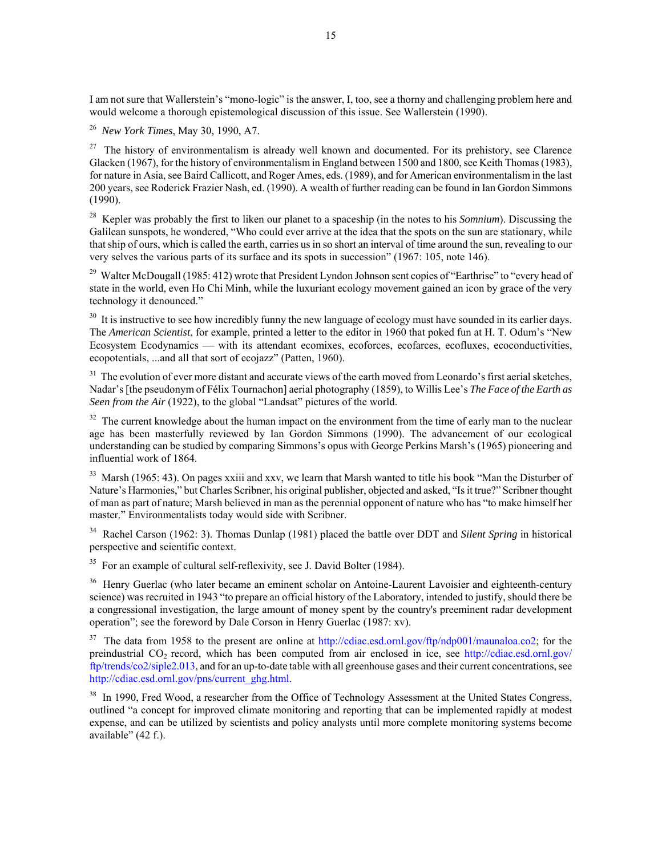I am not sure that Wallerstein's "mono-logic" is the answer, I, too, see a thorny and challenging problem here and would welcome a thorough epistemological discussion of this issue. See Wallerstein (1990).

26 *New York Times*, May 30, 1990, A7.

 $27$  The history of environmentalism is already well known and documented. For its prehistory, see Clarence Glacken (1967), for the history of environmentalism in England between 1500 and 1800, see Keith Thomas (1983), for nature in Asia, see Baird Callicott, and Roger Ames, eds. (1989), and for American environmentalism in the last 200 years, see Roderick Frazier Nash, ed. (1990). A wealth of further reading can be found in Ian Gordon Simmons (1990).

28 Kepler was probably the first to liken our planet to a spaceship (in the notes to his *Somnium*). Discussing the Galilean sunspots, he wondered, "Who could ever arrive at the idea that the spots on the sun are stationary, while that ship of ours, which is called the earth, carries us in so short an interval of time around the sun, revealing to our very selves the various parts of its surface and its spots in succession" (1967: 105, note 146).

<sup>29</sup> Walter McDougall (1985: 412) wrote that President Lyndon Johnson sent copies of "Earthrise" to "every head of state in the world, even Ho Chi Minh, while the luxuriant ecology movement gained an icon by grace of the very technology it denounced."

<sup>30</sup> It is instructive to see how incredibly funny the new language of ecology must have sounded in its earlier days. The *American Scientist*, for example, printed a letter to the editor in 1960 that poked fun at H. T. Odum's "New Ecosystem Ecodynamics — with its attendant ecomixes, ecoforces, ecofarces, ecofluxes, ecoconductivities, ecopotentials, ...and all that sort of ecojazz" (Patten, 1960).

<sup>31</sup> The evolution of ever more distant and accurate views of the earth moved from Leonardo's first aerial sketches, Nadar's [the pseudonym of Félix Tournachon] aerial photography (1859), to Willis Lee's *The Face of the Earth as Seen from the Air* (1922), to the global "Landsat" pictures of the world.

<sup>32</sup> The current knowledge about the human impact on the environment from the time of early man to the nuclear age has been masterfully reviewed by Ian Gordon Simmons (1990). The advancement of our ecological understanding can be studied by comparing Simmons's opus with George Perkins Marsh's (1965) pioneering and influential work of 1864.

<sup>33</sup> Marsh (1965: 43). On pages xxiii and xxv, we learn that Marsh wanted to title his book "Man the Disturber of Nature's Harmonies," but Charles Scribner, his original publisher, objected and asked, "Is it true?" Scribner thought of man as part of nature; Marsh believed in man as the perennial opponent of nature who has "to make himself her master." Environmentalists today would side with Scribner.

34 Rachel Carson (1962: 3). Thomas Dunlap (1981) placed the battle over DDT and *Silent Spring* in historical perspective and scientific context.

 $35$  For an example of cultural self-reflexivity, see J. David Bolter (1984).

<sup>36</sup> Henry Guerlac (who later became an eminent scholar on Antoine-Laurent Lavoisier and eighteenth-century science) was recruited in 1943 "to prepare an official history of the Laboratory, intended to justify, should there be a congressional investigation, the large amount of money spent by the country's preeminent radar development operation"; see the foreword by Dale Corson in Henry Guerlac (1987: xv).

<sup>37</sup> The data from 1958 to the present are online at http://cdiac.esd.ornl.gov/ftp/ndp001/maunaloa.co2; for the preindustrial CO<sub>2</sub> record, which has been computed from air enclosed in ice, see http://cdiac.esd.ornl.gov/ ftp/trends/co2/siple2.013, and for an up-to-date table with all greenhouse gases and their current concentrations, see http://cdiac.esd.ornl.gov/pns/current\_ghg.html.

<sup>38</sup> In 1990, Fred Wood, a researcher from the Office of Technology Assessment at the United States Congress, outlined "a concept for improved climate monitoring and reporting that can be implemented rapidly at modest expense, and can be utilized by scientists and policy analysts until more complete monitoring systems become available" (42 f.).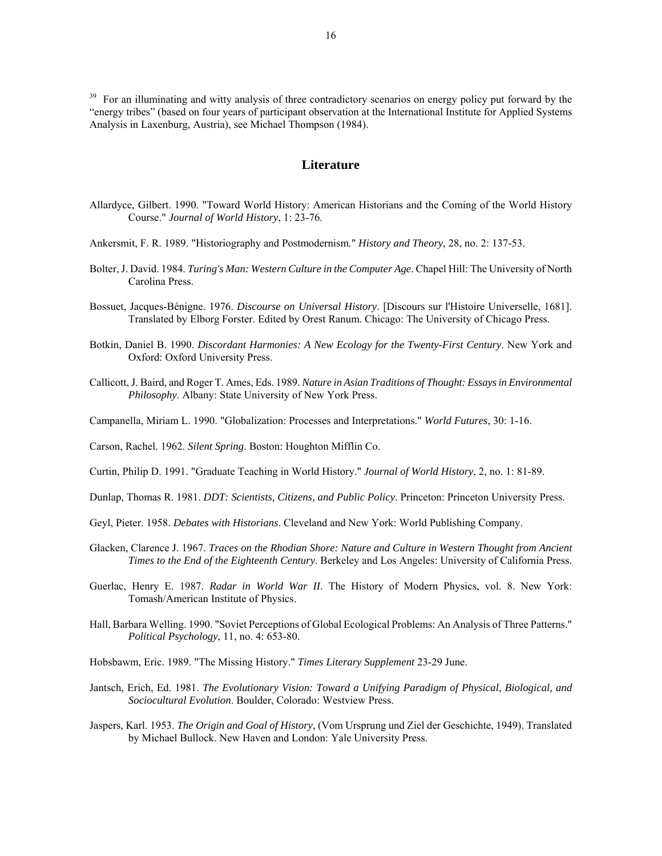<sup>39</sup> For an illuminating and witty analysis of three contradictory scenarios on energy policy put forward by the "energy tribes" (based on four years of participant observation at the International Institute for Applied Systems Analysis in Laxenburg, Austria), see Michael Thompson (1984).

### **Literature**

- Allardyce, Gilbert. 1990. "Toward World History: American Historians and the Coming of the World History Course." *Journal of World History*, 1: 23-76.
- Ankersmit, F. R. 1989. "Historiography and Postmodernism." *History and Theory*, 28, no. 2: 137-53.
- Bolter, J. David. 1984. *Turing's Man: Western Culture in the Computer Age*. Chapel Hill: The University of North Carolina Press.
- Bossuet, Jacques-Bénigne. 1976. *Discourse on Universal History*. [Discours sur l'Histoire Universelle, 1681]. Translated by Elborg Forster. Edited by Orest Ranum. Chicago: The University of Chicago Press.
- Botkin, Daniel B. 1990. *Discordant Harmonies: A New Ecology for the Twenty-First Century*. New York and Oxford: Oxford University Press.
- Callicott, J. Baird, and Roger T. Ames, Eds. 1989. *Nature in Asian Traditions of Thought: Essays in Environmental Philosophy*. Albany: State University of New York Press.
- Campanella, Miriam L. 1990. "Globalization: Processes and Interpretations." *World Futures*, 30: 1-16.
- Carson, Rachel. 1962. *Silent Spring*. Boston: Houghton Mifflin Co.
- Curtin, Philip D. 1991. "Graduate Teaching in World History." *Journal of World History*, 2, no. 1: 81-89.
- Dunlap, Thomas R. 1981. *DDT: Scientists, Citizens, and Public Policy*. Princeton: Princeton University Press.
- Geyl, Pieter. 1958. *Debates with Historians*. Cleveland and New York: World Publishing Company.
- Glacken, Clarence J. 1967. *Traces on the Rhodian Shore: Nature and Culture in Western Thought from Ancient Times to the End of the Eighteenth Century*. Berkeley and Los Angeles: University of California Press.
- Guerlac, Henry E. 1987. *Radar in World War II*. The History of Modern Physics, vol. 8. New York: Tomash/American Institute of Physics.
- Hall, Barbara Welling. 1990. "Soviet Perceptions of Global Ecological Problems: An Analysis of Three Patterns." *Political Psychology*, 11, no. 4: 653-80.

Hobsbawm, Eric. 1989. "The Missing History." *Times Literary Supplement* 23-29 June.

- Jantsch, Erich, Ed. 1981. *The Evolutionary Vision: Toward a Unifying Paradigm of Physical, Biological, and Sociocultural Evolution*. Boulder, Colorado: Westview Press.
- Jaspers, Karl. 1953. *The Origin and Goal of History*, (Vom Ursprung und Ziel der Geschichte, 1949). Translated by Michael Bullock. New Haven and London: Yale University Press.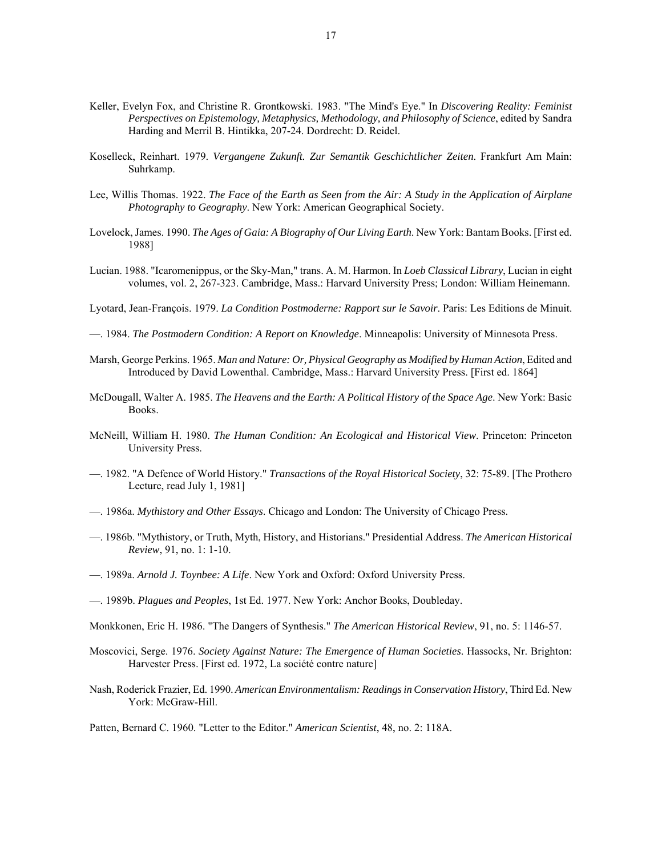- Keller, Evelyn Fox, and Christine R. Grontkowski. 1983. "The Mind's Eye." In *Discovering Reality: Feminist Perspectives on Epistemology, Metaphysics, Methodology, and Philosophy of Science*, edited by Sandra Harding and Merril B. Hintikka, 207-24. Dordrecht: D. Reidel.
- Koselleck, Reinhart. 1979. *Vergangene Zukunft. Zur Semantik Geschichtlicher Zeiten*. Frankfurt Am Main: Suhrkamp.
- Lee, Willis Thomas. 1922. *The Face of the Earth as Seen from the Air: A Study in the Application of Airplane Photography to Geography*. New York: American Geographical Society.
- Lovelock, James. 1990. *The Ages of Gaia: A Biography of Our Living Earth*. New York: Bantam Books. [First ed. 1988]
- Lucian. 1988. "Icaromenippus, or the Sky-Man," trans. A. M. Harmon. In *Loeb Classical Library*, Lucian in eight volumes, vol. 2, 267-323. Cambridge, Mass.: Harvard University Press; London: William Heinemann.
- Lyotard, Jean-François. 1979. *La Condition Postmoderne: Rapport sur le Savoir*. Paris: Les Editions de Minuit.
- —. 1984. *The Postmodern Condition: A Report on Knowledge*. Minneapolis: University of Minnesota Press.
- Marsh, George Perkins. 1965. *Man and Nature: Or, Physical Geography as Modified by Human Action*, Edited and Introduced by David Lowenthal. Cambridge, Mass.: Harvard University Press. [First ed. 1864]
- McDougall, Walter A. 1985. *The Heavens and the Earth: A Political History of the Space Age*. New York: Basic Books.
- McNeill, William H. 1980. *The Human Condition: An Ecological and Historical View*. Princeton: Princeton University Press.
- —. 1982. "A Defence of World History." *Transactions of the Royal Historical Society*, 32: 75-89. [The Prothero Lecture, read July 1, 1981]
- —. 1986a. *Mythistory and Other Essays*. Chicago and London: The University of Chicago Press.
- —. 1986b. "Mythistory, or Truth, Myth, History, and Historians." Presidential Address. *The American Historical Review*, 91, no. 1: 1-10.
- —. 1989a. *Arnold J. Toynbee: A Life*. New York and Oxford: Oxford University Press.
- —. 1989b. *Plagues and Peoples*, 1st Ed. 1977. New York: Anchor Books, Doubleday.
- Monkkonen, Eric H. 1986. "The Dangers of Synthesis." *The American Historical Review*, 91, no. 5: 1146-57.
- Moscovici, Serge. 1976. *Society Against Nature: The Emergence of Human Societies*. Hassocks, Nr. Brighton: Harvester Press. [First ed. 1972, La société contre nature]
- Nash, Roderick Frazier, Ed. 1990. *American Environmentalism: Readings in Conservation History*, Third Ed. New York: McGraw-Hill.

Patten, Bernard C. 1960. "Letter to the Editor." *American Scientist*, 48, no. 2: 118A.